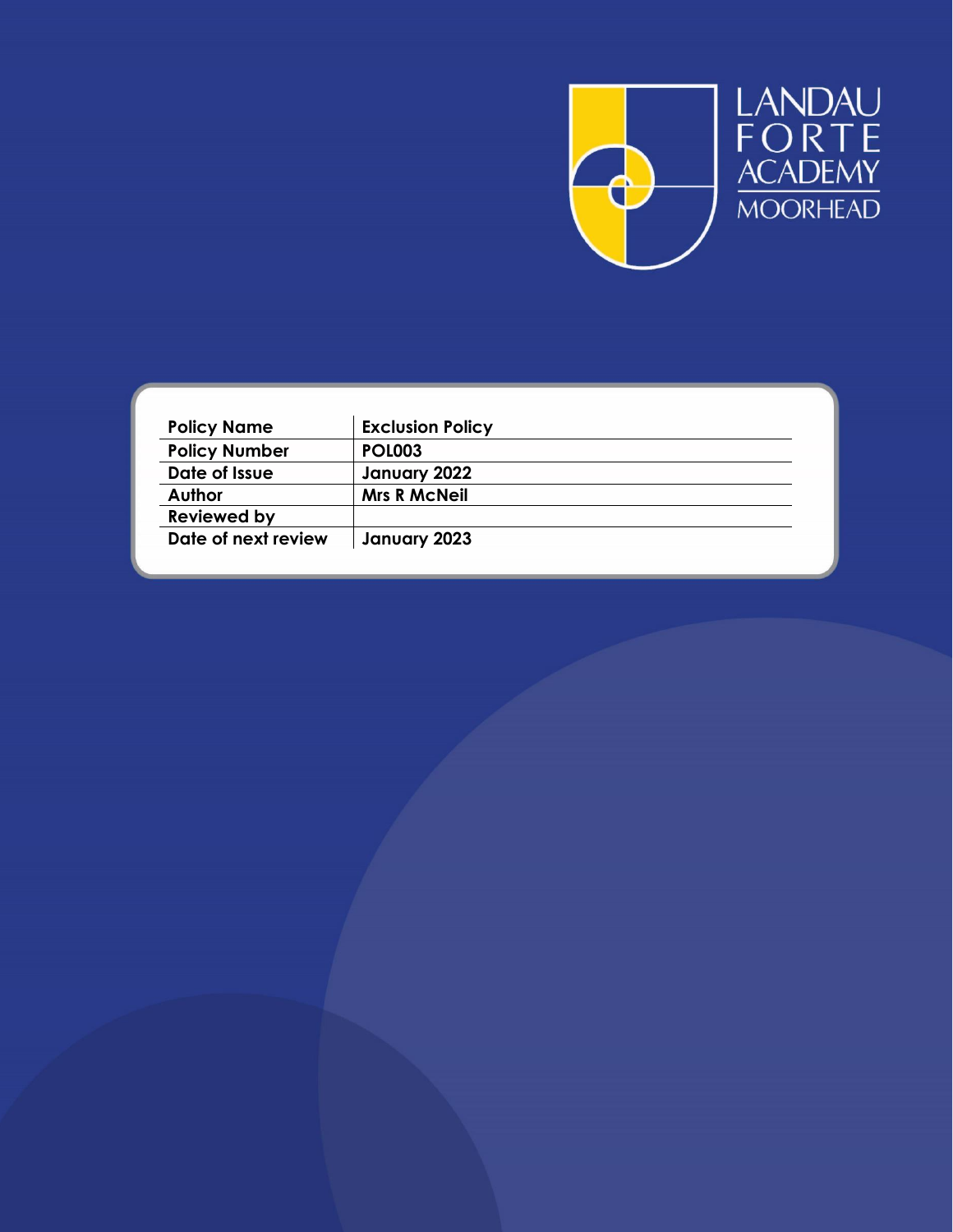

| <b>Exclusion Policy</b> |
|-------------------------|
| <b>POL003</b>           |
| January 2022            |
| <b>Mrs R McNeil</b>     |
|                         |
| January 2023            |
|                         |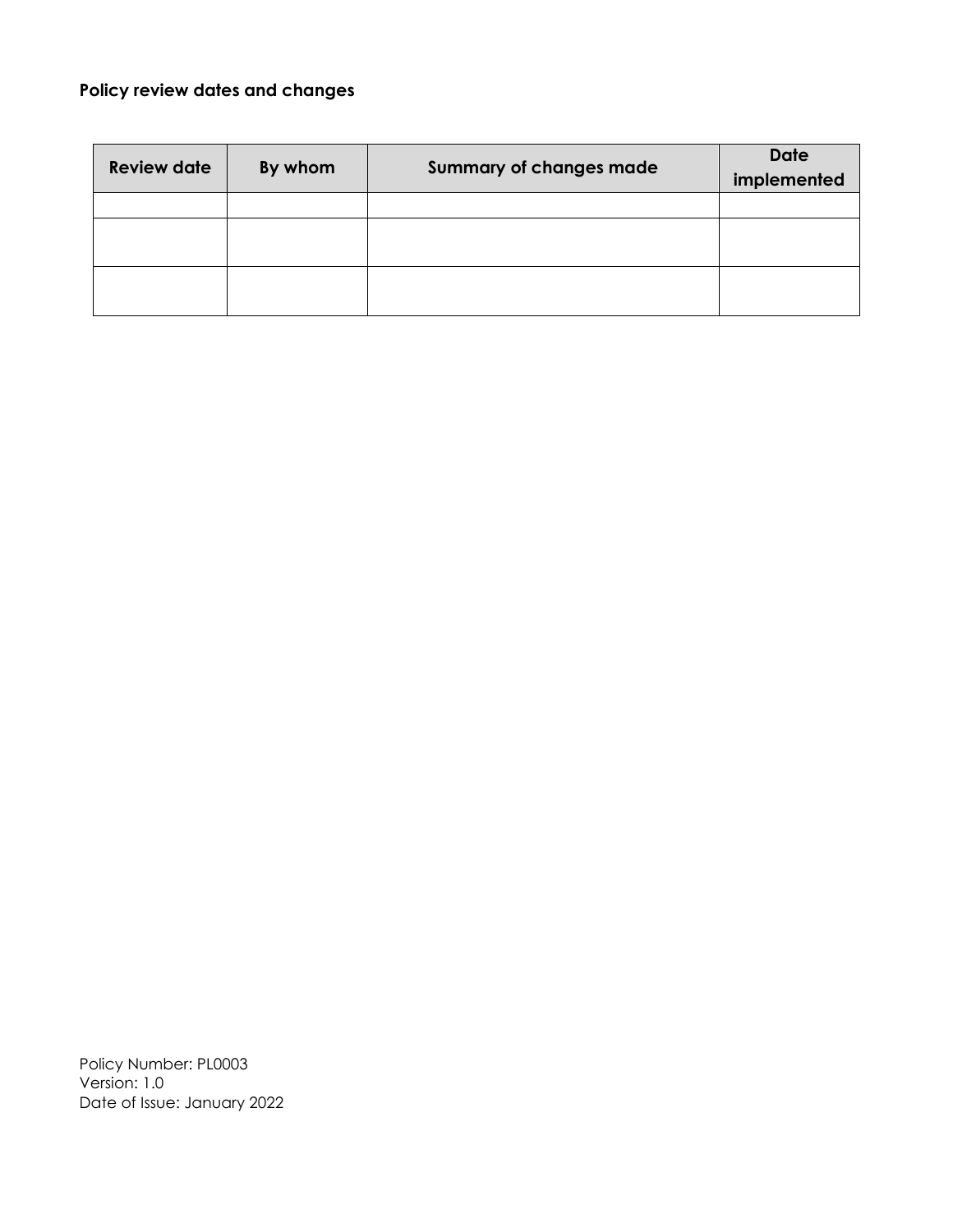# **Policy review dates and changes**

| <b>Review date</b> | By whom | <b>Summary of changes made</b> | <b>Date</b><br>implemented |
|--------------------|---------|--------------------------------|----------------------------|
|                    |         |                                |                            |
|                    |         |                                |                            |
|                    |         |                                |                            |
|                    |         |                                |                            |
|                    |         |                                |                            |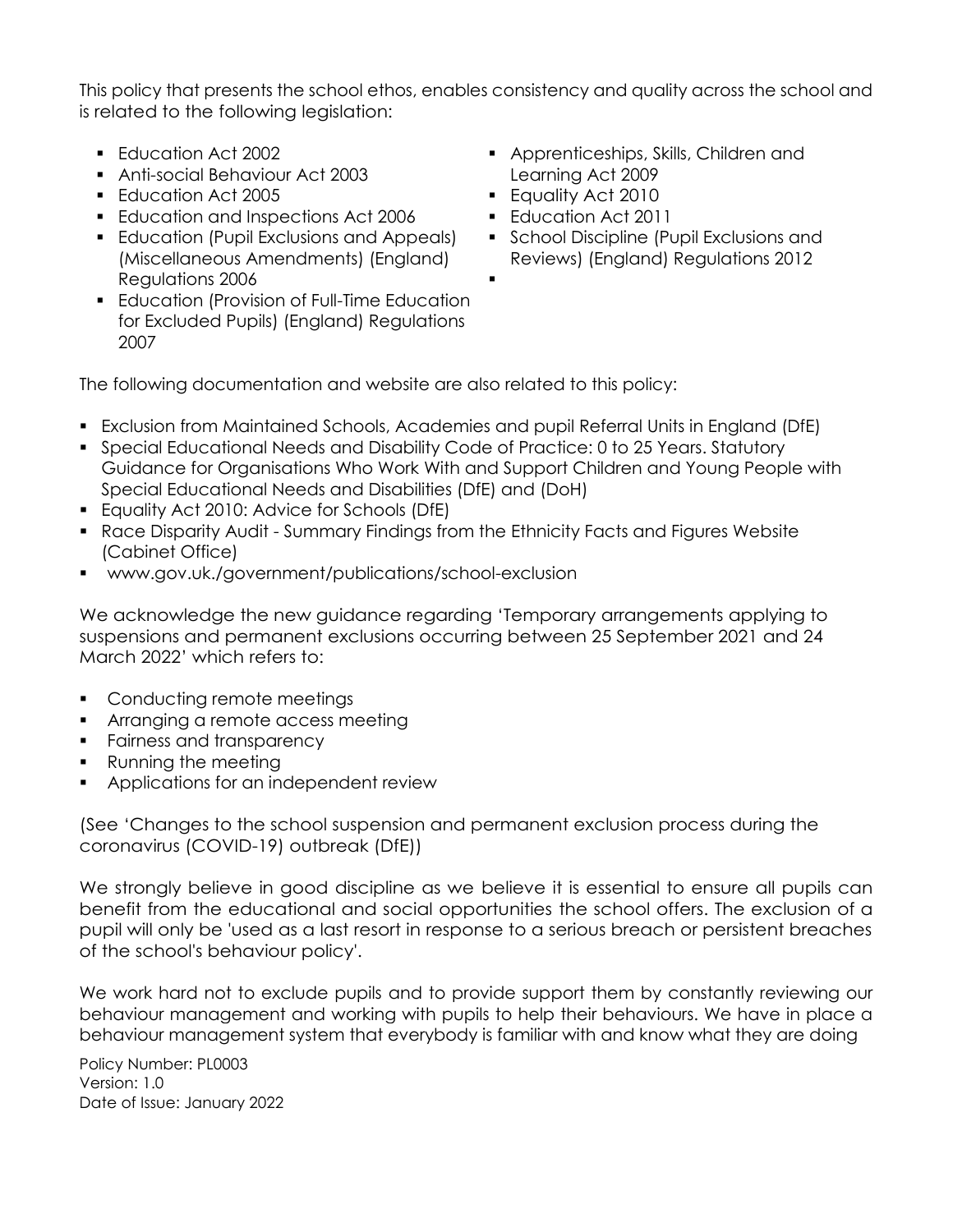This policy that presents the school ethos, enables consistency and quality across the school and is related to the following legislation:

.

- **Education Act 2002**
- Anti-social Behaviour Act 2003
- **Education Act 2005**
- **Education and Inspections Act 2006**
- **Education (Pupil Exclusions and Appeals)** (Miscellaneous Amendments) (England) Regulations 2006
- **Education (Provision of Full-Time Education** for Excluded Pupils) (England) Regulations 2007
- **Apprenticeships, Skills, Children and** Learning Act 2009
- **Equality Act 2010**
- **Education Act 2011**
- **School Discipline (Pupil Exclusions and** Reviews) (England) Regulations 2012

The following documentation and website are also related to this policy:

- Exclusion from Maintained Schools, Academies and pupil Referral Units in England (DfE)
- Special Educational Needs and Disability Code of Practice: 0 to 25 Years. Statutory Guidance for Organisations Who Work With and Support Children and Young People with Special Educational Needs and Disabilities (DfE) and (DoH)
- **Equality Act 2010: Advice for Schools (DfE)**
- Race Disparity Audit Summary Findings from the Ethnicity Facts and Figures Website (Cabinet Office)
- www.gov.uk./government/publications/school-exclusion

We acknowledge the new guidance regarding 'Temporary arrangements applying to suspensions and permanent exclusions occurring between 25 September 2021 and 24 March 2022' which refers to:

- **Conducting remote meetings**
- **Arranging a remote access meeting**
- **Fairness and transparency**
- Running the meeting
- **Applications for an independent review**

(See 'Changes to the school suspension and permanent exclusion process during the coronavirus (COVID-19) outbreak (DfE))

We strongly believe in good discipline as we believe it is essential to ensure all pupils can benefit from the educational and social opportunities the school offers. The exclusion of a pupil will only be 'used as a last resort in response to a serious breach or persistent breaches of the school's behaviour policy'.

We work hard not to exclude pupils and to provide support them by constantly reviewing our behaviour management and working with pupils to help their behaviours. We have in place a behaviour management system that everybody is familiar with and know what they are doing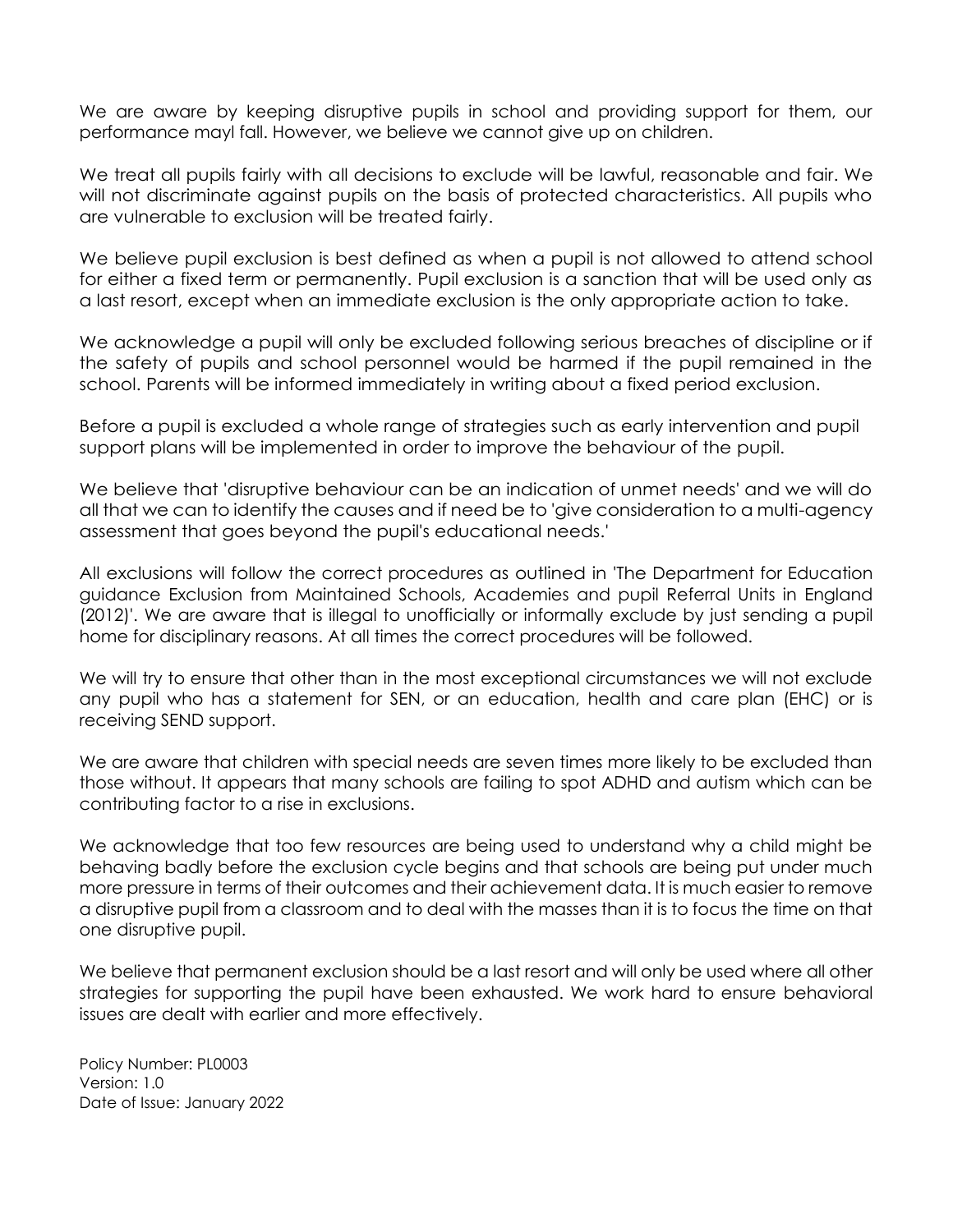We are aware by keeping disruptive pupils in school and providing support for them, our performance mayl fall. However, we believe we cannot give up on children.

We treat all pupils fairly with all decisions to exclude will be lawful, reasonable and fair. We will not discriminate against pupils on the basis of protected characteristics. All pupils who are vulnerable to exclusion will be treated fairly.

We believe pupil exclusion is best defined as when a pupil is not allowed to attend school for either a fixed term or permanently. Pupil exclusion is a sanction that will be used only as a last resort, except when an immediate exclusion is the only appropriate action to take.

We acknowledge a pupil will only be excluded following serious breaches of discipline or if the safety of pupils and school personnel would be harmed if the pupil remained in the school. Parents will be informed immediately in writing about a fixed period exclusion.

Before a pupil is excluded a whole range of strategies such as early intervention and pupil support plans will be implemented in order to improve the behaviour of the pupil.

We believe that 'disruptive behaviour can be an indication of unmet needs' and we will do all that we can to identify the causes and if need be to 'give consideration to a multi-agency assessment that goes beyond the pupil's educational needs.'

All exclusions will follow the correct procedures as outlined in 'The Department for Education guidance Exclusion from Maintained Schools, Academies and pupil Referral Units in England (2012)'. We are aware that is illegal to unofficially or informally exclude by just sending a pupil home for disciplinary reasons. At all times the correct procedures will be followed.

We will try to ensure that other than in the most exceptional circumstances we will not exclude any pupil who has a statement for SEN, or an education, health and care plan (EHC) or is receiving SEND support.

We are aware that children with special needs are seven times more likely to be excluded than those without. It appears that many schools are failing to spot ADHD and autism which can be contributing factor to a rise in exclusions.

We acknowledge that too few resources are being used to understand why a child might be behaving badly before the exclusion cycle begins and that schools are being put under much more pressure in terms of their outcomes and their achievement data. It is much easier to remove a disruptive pupil from a classroom and to deal with the masses than it is to focus the time on that one disruptive pupil.

We believe that permanent exclusion should be a last resort and will only be used where all other strategies for supporting the pupil have been exhausted. We work hard to ensure behavioral issues are dealt with earlier and more effectively.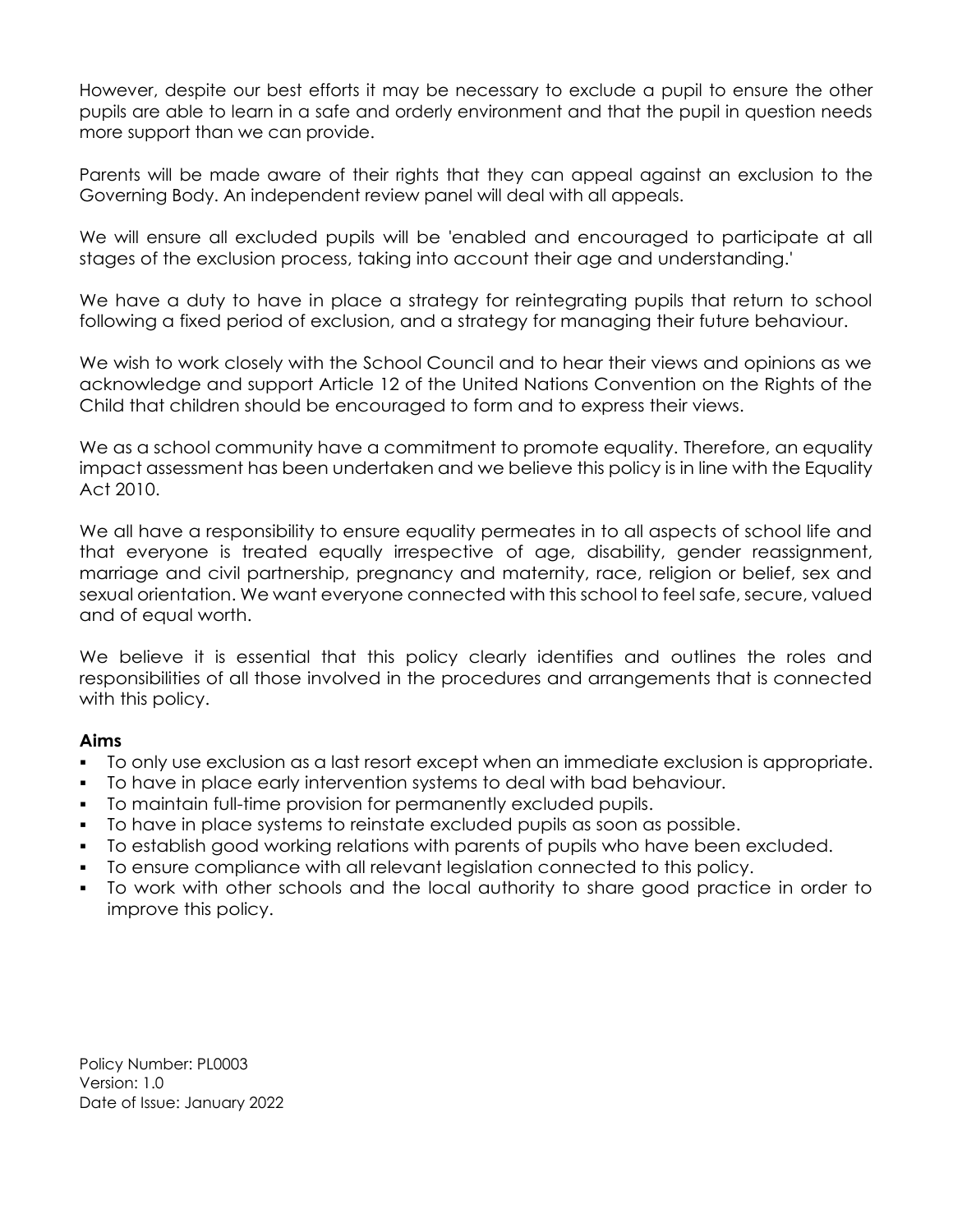However, despite our best efforts it may be necessary to exclude a pupil to ensure the other pupils are able to learn in a safe and orderly environment and that the pupil in question needs more support than we can provide.

Parents will be made aware of their rights that they can appeal against an exclusion to the Governing Body. An independent review panel will deal with all appeals.

We will ensure all excluded pupils will be 'enabled and encouraged to participate at all stages of the exclusion process, taking into account their age and understanding.'

We have a duty to have in place a strategy for reintegrating pupils that return to school following a fixed period of exclusion, and a strategy for managing their future behaviour.

We wish to work closely with the School Council and to hear their views and opinions as we acknowledge and support Article 12 of the United Nations Convention on the Rights of the Child that children should be encouraged to form and to express their views.

We as a school community have a commitment to promote equality. Therefore, an equality impact assessment has been undertaken and we believe this policy is in line with the Equality Act 2010.

We all have a responsibility to ensure equality permeates in to all aspects of school life and that everyone is treated equally irrespective of age, disability, gender reassignment, marriage and civil partnership, pregnancy and maternity, race, religion or belief, sex and sexual orientation. We want everyone connected with this school to feel safe, secure, valued and of equal worth.

We believe it is essential that this policy clearly identifies and outlines the roles and responsibilities of all those involved in the procedures and arrangements that is connected with this policy.

# **Aims**

- To only use exclusion as a last resort except when an immediate exclusion is appropriate.
- To have in place early intervention systems to deal with bad behaviour.
- To maintain full-time provision for permanently excluded pupils.
- To have in place systems to reinstate excluded pupils as soon as possible.
- To establish good working relations with parents of pupils who have been excluded.
- To ensure compliance with all relevant legislation connected to this policy.
- To work with other schools and the local authority to share good practice in order to improve this policy.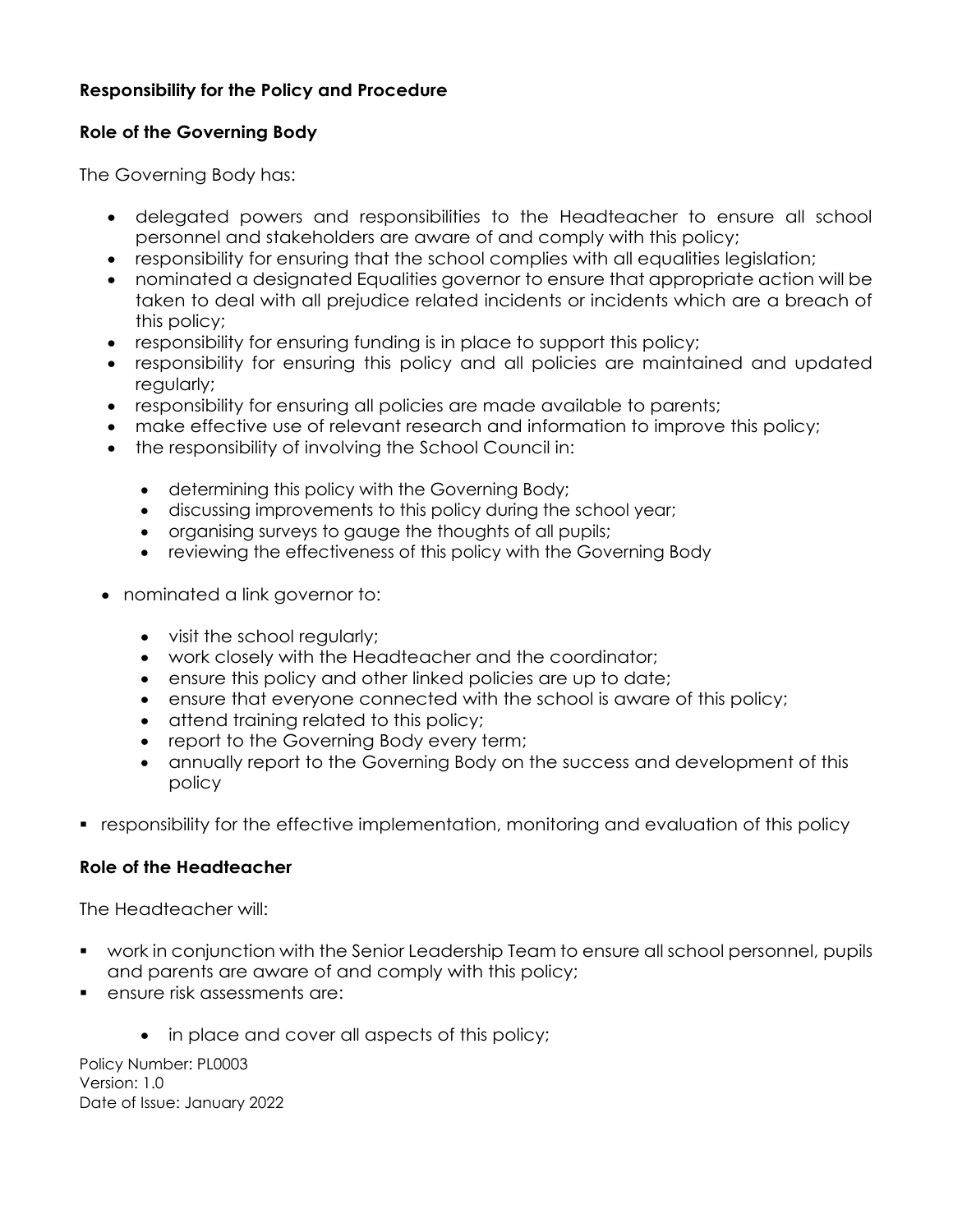# **Responsibility for the Policy and Procedure**

# **Role of the Governing Body**

The Governing Body has:

- delegated powers and responsibilities to the Headteacher to ensure all school personnel and stakeholders are aware of and comply with this policy;
- responsibility for ensuring that the school complies with all equalities legislation;
- nominated a designated Equalities governor to ensure that appropriate action will be taken to deal with all prejudice related incidents or incidents which are a breach of this policy;
- responsibility for ensuring funding is in place to support this policy;
- responsibility for ensuring this policy and all policies are maintained and updated regularly;
- responsibility for ensuring all policies are made available to parents;
- make effective use of relevant research and information to improve this policy;
- the responsibility of involving the School Council in:
	- determining this policy with the Governing Body;
	- discussing improvements to this policy during the school year;
	- organising surveys to gauge the thoughts of all pupils;
	- reviewing the effectiveness of this policy with the Governing Body
- nominated a link governor to:
	- visit the school regularly;
	- work closely with the Headteacher and the coordinator;
	- ensure this policy and other linked policies are up to date;
	- ensure that everyone connected with the school is aware of this policy;
	- attend training related to this policy;
	- report to the Governing Body every term;
	- annually report to the Governing Body on the success and development of this policy
- responsibility for the effective implementation, monitoring and evaluation of this policy

# **Role of the Headteacher**

The Headteacher will:

- work in conjunction with the Senior Leadership Team to ensure all school personnel, pupils and parents are aware of and comply with this policy;
- ensure risk assessments are:
	- in place and cover all aspects of this policy;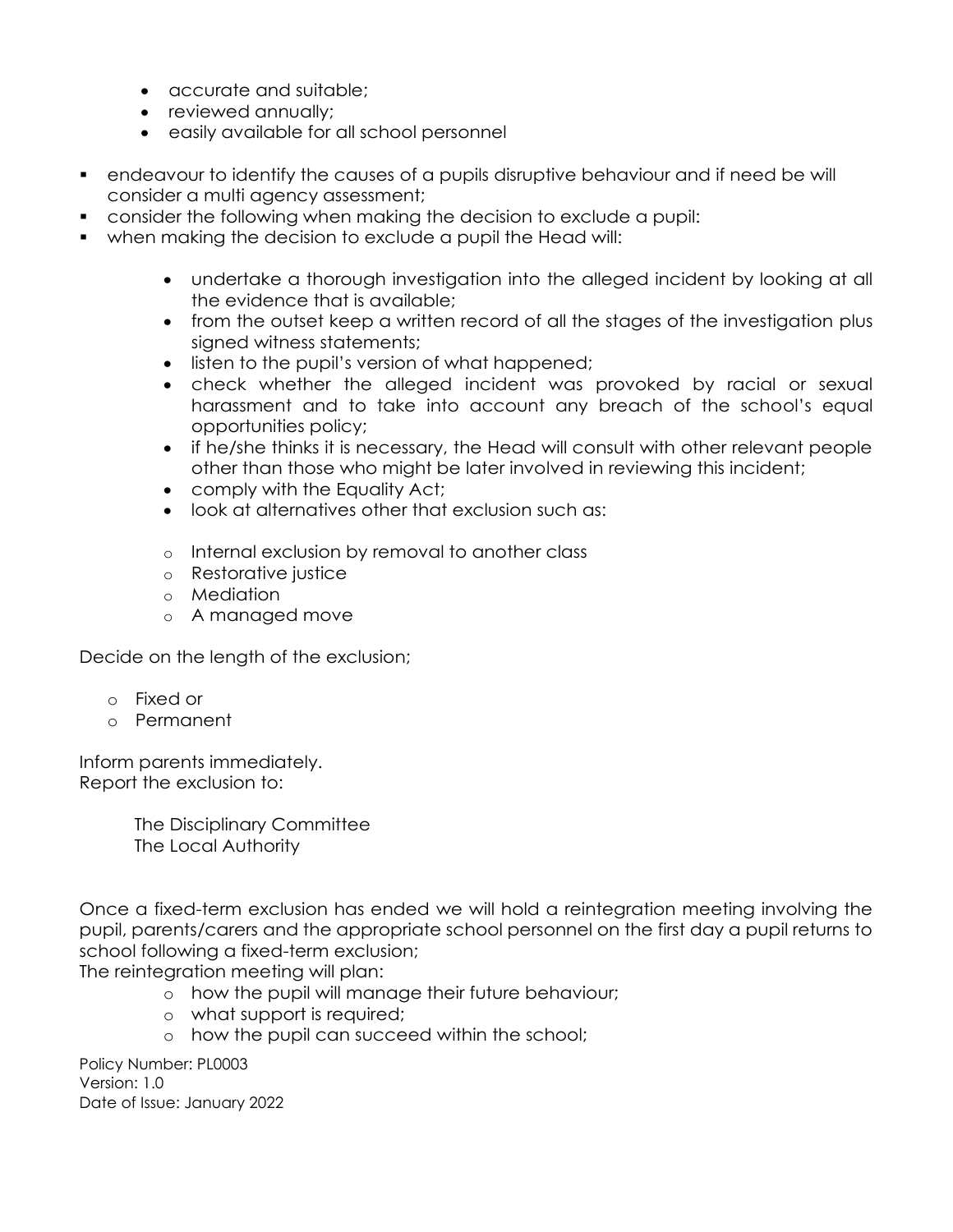- accurate and suitable;
- reviewed annually;
- easily available for all school personnel
- endeavour to identify the causes of a pupils disruptive behaviour and if need be will consider a multi agency assessment;
- consider the following when making the decision to exclude a pupil:
- when making the decision to exclude a pupil the Head will:
	- undertake a thorough investigation into the alleged incident by looking at all the evidence that is available;
	- from the outset keep a written record of all the stages of the investigation plus signed witness statements;
	- listen to the pupil's version of what happened;
	- check whether the alleged incident was provoked by racial or sexual harassment and to take into account any breach of the school's equal opportunities policy;
	- if he/she thinks it is necessary, the Head will consult with other relevant people other than those who might be later involved in reviewing this incident;
	- comply with the Equality Act;
	- look at alternatives other that exclusion such as:
	- o Internal exclusion by removal to another class
	- o Restorative justice
	- o Mediation
	- o A managed move

Decide on the length of the exclusion;

- o Fixed or
- o Permanent

Inform parents immediately. Report the exclusion to:

> The Disciplinary Committee The Local Authority

Once a fixed-term exclusion has ended we will hold a reintegration meeting involving the pupil, parents/carers and the appropriate school personnel on the first day a pupil returns to school following a fixed-term exclusion;

The reintegration meeting will plan:

- o how the pupil will manage their future behaviour;
- o what support is required;
- o how the pupil can succeed within the school;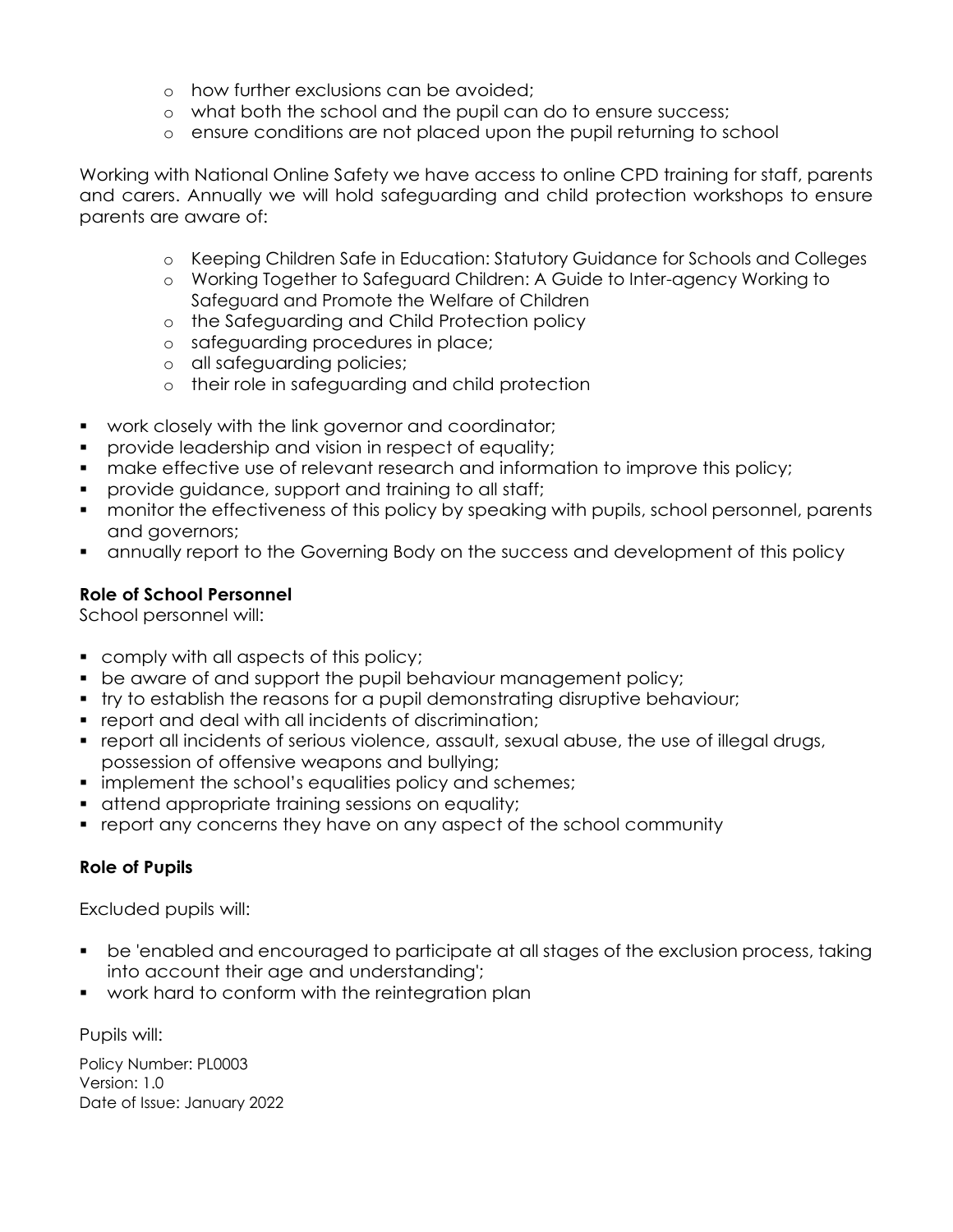- o how further exclusions can be avoided;
- o what both the school and the pupil can do to ensure success;
- o ensure conditions are not placed upon the pupil returning to school

Working with National Online Safety we have access to online CPD training for staff, parents and carers. Annually we will hold safeguarding and child protection workshops to ensure parents are aware of:

- o Keeping Children Safe in Education: Statutory Guidance for Schools and Colleges
- o Working Together to Safeguard Children: A Guide to Inter-agency Working to Safeguard and Promote the Welfare of Children
- o the Safeguarding and Child Protection policy
- o safeguarding procedures in place;
- o all safeguarding policies;
- o their role in safeguarding and child protection
- work closely with the link governor and coordinator;
- provide leadership and vision in respect of equality;
- make effective use of relevant research and information to improve this policy;
- **Perovide guidance, support and training to all staff;**
- monitor the effectiveness of this policy by speaking with pupils, school personnel, parents and governors;
- annually report to the Governing Body on the success and development of this policy

## **Role of School Personnel**

School personnel will:

- **Comply with all aspects of this policy;**
- **be aware of and support the pupil behaviour management policy;**
- try to establish the reasons for a pupil demonstrating disruptive behaviour;
- report and deal with all incidents of discrimination;
- report all incidents of serious violence, assault, sexual abuse, the use of illegal drugs, possession of offensive weapons and bullying;
- **implement the school's equalities policy and schemes;**
- **that increding in the control of the set of the control of the control of the control of the control of the control of the control of the control of the control of the control of the control of the control of the control**
- report any concerns they have on any aspect of the school community

# **Role of Pupils**

Excluded pupils will:

- be 'enabled and encouraged to participate at all stages of the exclusion process, taking into account their age and understanding';
- **•** work hard to conform with the reintegration plan

Pupils will: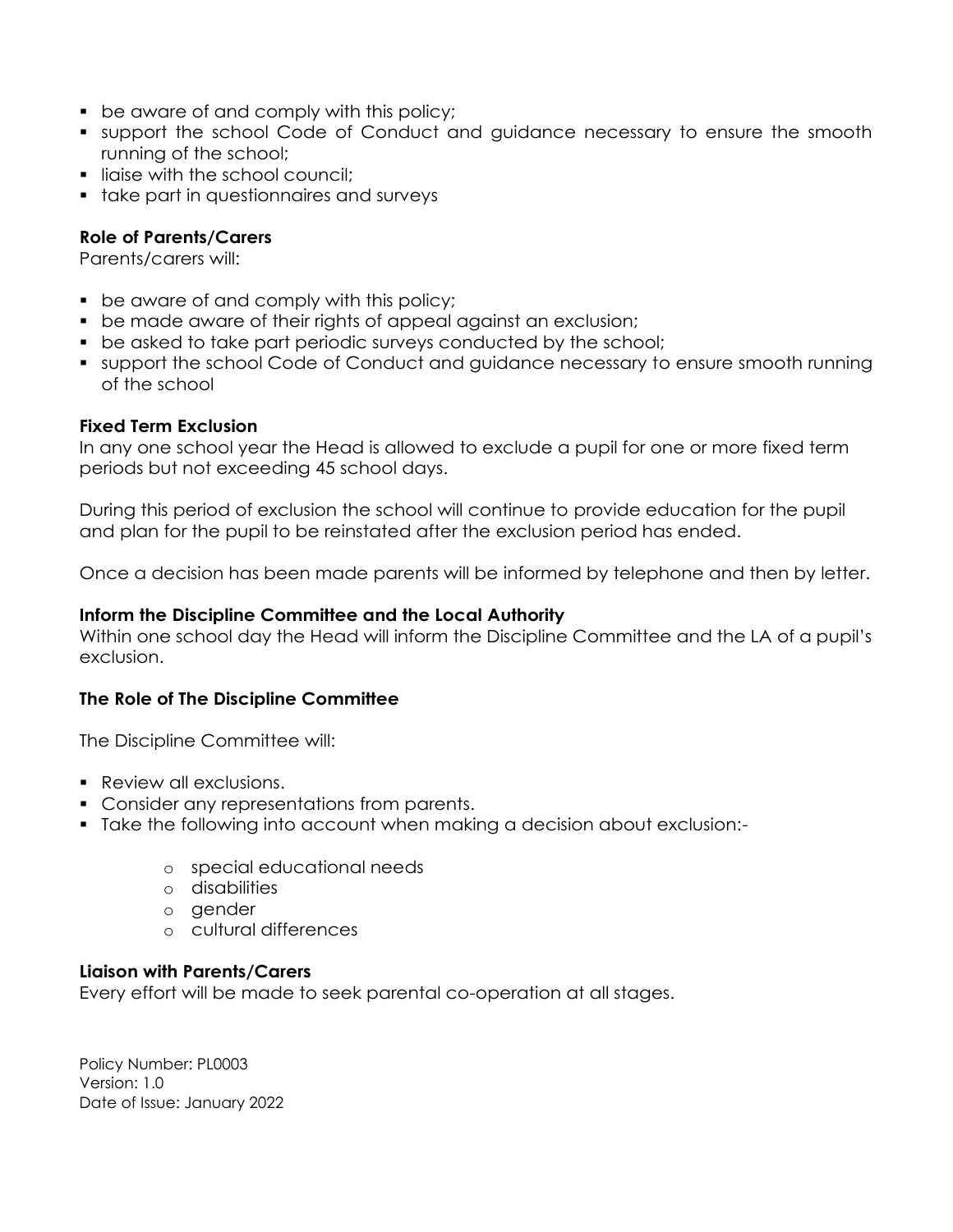- **be aware of and comply with this policy;**
- support the school Code of Conduct and guidance necessary to ensure the smooth running of the school;
- **If lighter with the school council;**
- **take part in questionnaires and surveys**

## **Role of Parents/Carers**

Parents/carers will:

- **•** be aware of and comply with this policy;
- **•** be made aware of their rights of appeal against an exclusion;
- **•** be asked to take part periodic surveys conducted by the school;
- support the school Code of Conduct and guidance necessary to ensure smooth running of the school

#### **Fixed Term Exclusion**

In any one school year the Head is allowed to exclude a pupil for one or more fixed term periods but not exceeding 45 school days.

During this period of exclusion the school will continue to provide education for the pupil and plan for the pupil to be reinstated after the exclusion period has ended.

Once a decision has been made parents will be informed by telephone and then by letter.

#### **Inform the Discipline Committee and the Local Authority**

Within one school day the Head will inform the Discipline Committee and the LA of a pupil's exclusion.

#### **The Role of The Discipline Committee**

The Discipline Committee will:

- **Review all exclusions.**
- Consider any representations from parents.
- Take the following into account when making a decision about exclusion:
	- o special educational needs
	- o disabilities
	- o gender
	- o cultural differences

#### **Liaison with Parents/Carers**

Every effort will be made to seek parental co-operation at all stages.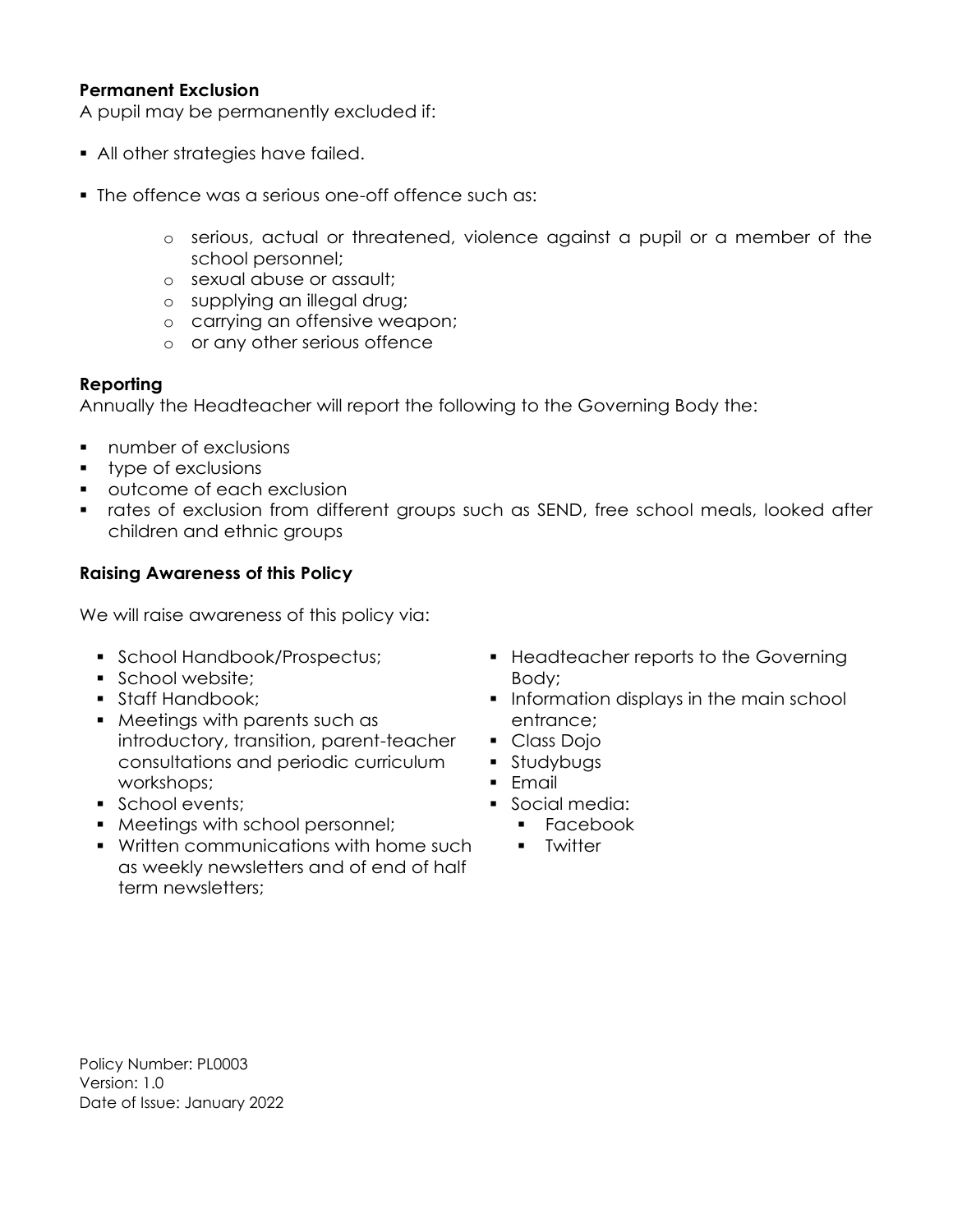## **Permanent Exclusion**

A pupil may be permanently excluded if:

- All other strategies have failed.
- **The offence was a serious one-off offence such as:** 
	- o serious, actual or threatened, violence against a pupil or a member of the school personnel;
	- o sexual abuse or assault;
	- o supplying an illegal drug;
	- o carrying an offensive weapon;
	- o or any other serious offence

#### **Reporting**

Annually the Headteacher will report the following to the Governing Body the:

- **number of exclusions**
- **type of exclusions**
- **•** outcome of each exclusion
- rates of exclusion from different groups such as SEND, free school meals, looked after children and ethnic groups

#### **Raising Awareness of this Policy**

We will raise awareness of this policy via:

- **School Handbook/Prospectus;**
- School website:
- **Staff Handbook;**
- Meetings with parents such as introductory, transition, parent-teacher consultations and periodic curriculum workshops;
- **School events;**
- Meetings with school personnel;
- Written communications with home such as weekly newsletters and of end of half term newsletters;
- **Headteacher reports to the Governing** Body;
- **Information displays in the main school** entrance;
- Class Dojo
- **Studybugs**
- $Fm$ ail
- Social media:
	- **Facebook**
	- **-** Twitter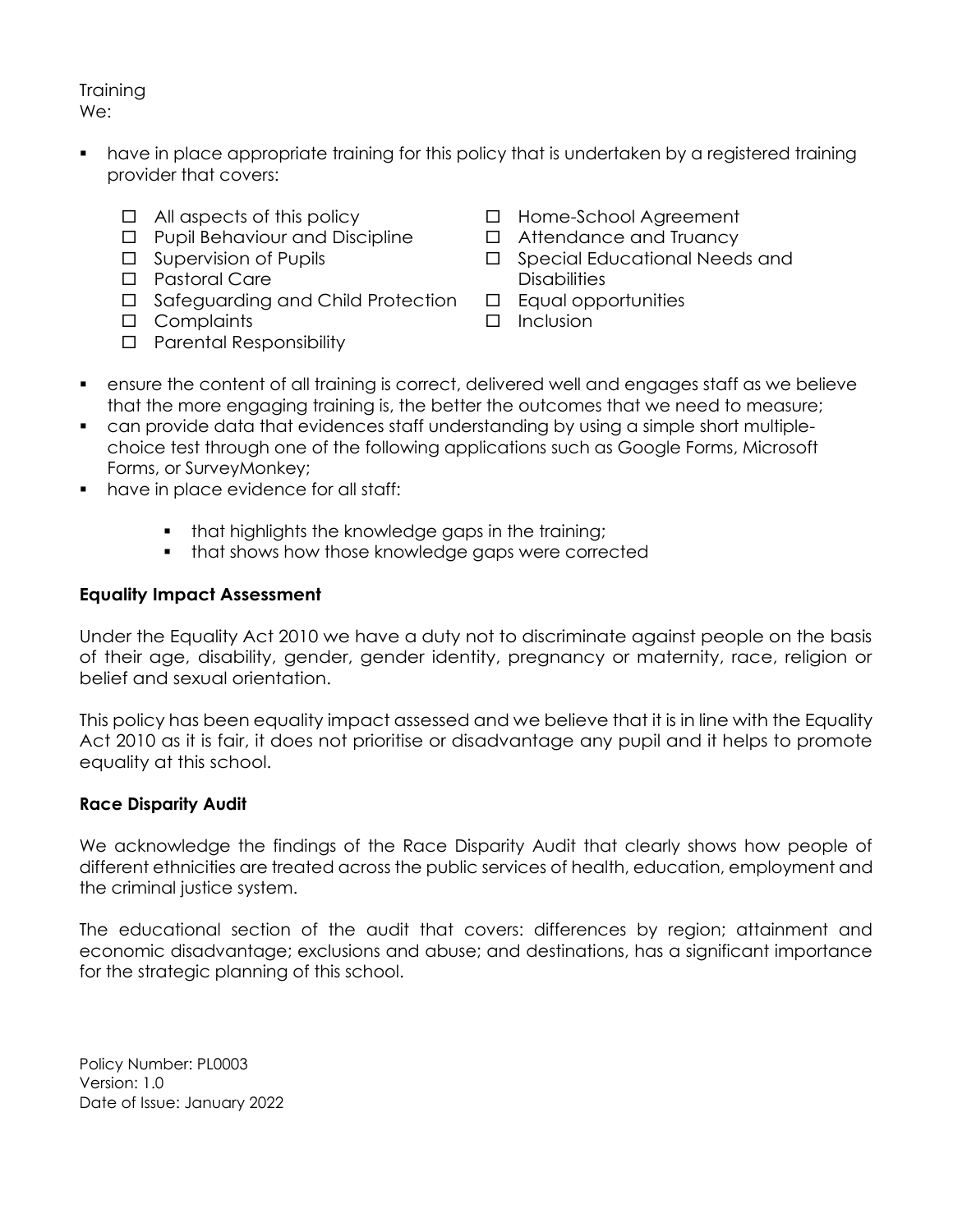**Training** We:

- have in place appropriate training for this policy that is undertaken by a registered training provider that covers:
	- $\Box$  All aspects of this policy
	- □ Pupil Behaviour and Discipline
	- $\square$  Supervision of Pupils
	- D Pastoral Care
	- □ Safeguarding and Child Protection
	- □ Complaints
	- □ Parental Responsibility
- □ Home-School Agreement
- □ Attendance and Truancy
- □ Special Educational Needs and **Disabilities**
- $\square$  Equal opportunities
- $\Box$  Inclusion
- ensure the content of all training is correct, delivered well and engages staff as we believe that the more engaging training is, the better the outcomes that we need to measure;
- can provide data that evidences staff understanding by using a simple short multiplechoice test through one of the following applications such as Google Forms, Microsoft Forms, or SurveyMonkey;
- **•** have in place evidence for all staff:
	- that highlights the knowledge gaps in the training;
	- that shows how those knowledge gaps were corrected

# **Equality Impact Assessment**

Under the Equality Act 2010 we have a duty not to discriminate against people on the basis of their age, disability, gender, gender identity, pregnancy or maternity, race, religion or belief and sexual orientation.

This policy has been equality impact assessed and we believe that it is in line with the Equality Act 2010 as it is fair, it does not prioritise or disadvantage any pupil and it helps to promote equality at this school.

# **Race Disparity Audit**

We acknowledge the findings of the Race Disparity Audit that clearly shows how people of different ethnicities are treated across the public services of health, education, employment and the criminal justice system.

The educational section of the audit that covers: differences by region; attainment and economic disadvantage; exclusions and abuse; and destinations, has a significant importance for the strategic planning of this school.